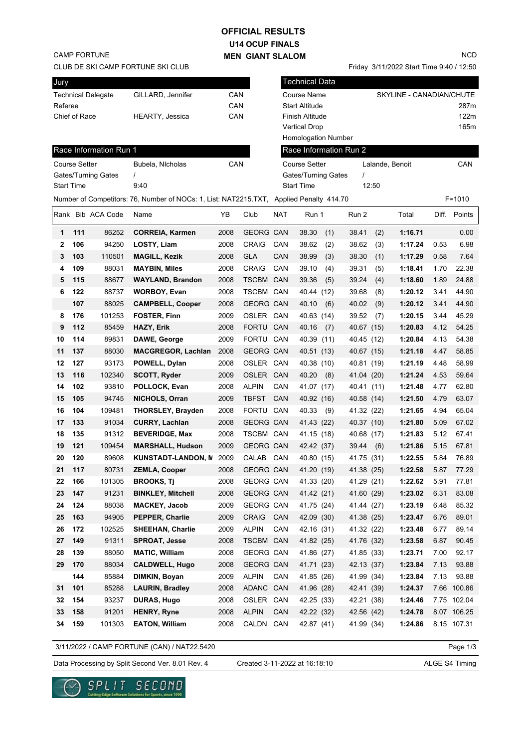# **U14 OCUP FINALS MEN GIANT SLALOM OFFICIAL RESULTS**

CAMP FORTUNE

CLUB DE SKI CAMP FORTUNE SKI CLUB

| Jury              |                                                                                                       |                           |                           |      | <b>Technical Data</b><br>CAN<br>Course Name<br>SKYLINE - CANADIAN/CHUTE<br>CAN<br><b>Start Altitude</b><br>287m<br>CAN<br>122m<br>Finish Altitude<br><b>Vertical Drop</b> |                      |                            |          |                        |                 |         |      |              |  |
|-------------------|-------------------------------------------------------------------------------------------------------|---------------------------|---------------------------|------|---------------------------------------------------------------------------------------------------------------------------------------------------------------------------|----------------------|----------------------------|----------|------------------------|-----------------|---------|------|--------------|--|
|                   |                                                                                                       | <b>Technical Delegate</b> | GILLARD, Jennifer         |      |                                                                                                                                                                           |                      |                            |          |                        |                 |         |      |              |  |
| Referee           |                                                                                                       |                           |                           |      |                                                                                                                                                                           |                      |                            |          |                        |                 |         |      |              |  |
|                   | Chief of Race                                                                                         |                           | HEARTY, Jessica           |      |                                                                                                                                                                           |                      |                            |          |                        |                 |         |      |              |  |
|                   |                                                                                                       |                           |                           |      |                                                                                                                                                                           |                      |                            |          |                        |                 |         |      | 165m         |  |
|                   |                                                                                                       |                           |                           |      |                                                                                                                                                                           |                      | <b>Homologation Number</b> |          |                        |                 |         |      |              |  |
|                   |                                                                                                       | Race Information Run 1    |                           |      |                                                                                                                                                                           |                      |                            |          | Race Information Run 2 |                 |         |      |              |  |
|                   | <b>Course Setter</b>                                                                                  |                           | Bubela, Nicholas          | CAN  |                                                                                                                                                                           | <b>Course Setter</b> |                            |          |                        | Lalande, Benoit |         |      | CAN          |  |
|                   |                                                                                                       | Gates/Turning Gates       | $\prime$                  |      |                                                                                                                                                                           | Gates/Turning Gates  |                            | $\prime$ |                        |                 |         |      |              |  |
| <b>Start Time</b> |                                                                                                       |                           | 9:40                      |      |                                                                                                                                                                           |                      | <b>Start Time</b>          |          |                        | 12:50           |         |      |              |  |
|                   | Number of Competitors: 76, Number of NOCs: 1, List: NAT2215.TXT, Applied Penalty 414.70<br>$F = 1010$ |                           |                           |      |                                                                                                                                                                           |                      |                            |          |                        |                 |         |      |              |  |
|                   |                                                                                                       | Rank Bib ACA Code         | Name                      | YB   | Club                                                                                                                                                                      | <b>NAT</b>           | Run 1                      |          | Run 2                  |                 | Total   |      | Diff. Points |  |
| 1                 | 111                                                                                                   | 86252                     | <b>CORREIA, Karmen</b>    | 2008 | <b>GEORG CAN</b>                                                                                                                                                          |                      | 38.30                      | (1)      | 38.41                  | (2)             | 1:16.71 |      | 0.00         |  |
| $\mathbf{2}$      | 106                                                                                                   | 94250                     | LOSTY, Liam               | 2008 | <b>CRAIG</b>                                                                                                                                                              | CAN                  | 38.62                      | (2)      | 38.62                  | (3)             | 1:17.24 | 0.53 | 6.98         |  |
| 3                 | 103                                                                                                   | 110501                    | <b>MAGILL, Kezik</b>      | 2008 | <b>GLA</b>                                                                                                                                                                | CAN                  | 38.99                      | (3)      | 38.30                  | (1)             | 1:17.29 | 0.58 | 7.64         |  |
| 4                 | 109                                                                                                   | 88031                     | <b>MAYBIN, Miles</b>      | 2008 | <b>CRAIG</b>                                                                                                                                                              | CAN                  | 39.10                      | (4)      | 39.31                  | (5)             | 1:18.41 | 1.70 | 22.38        |  |
| 5                 | 115                                                                                                   | 88677                     | <b>WAYLAND, Brandon</b>   | 2008 | TSCBM CAN                                                                                                                                                                 |                      | 39.36                      | (5)      | 39.24                  | (4)             | 1:18.60 | 1.89 | 24.88        |  |
| 6                 | 122                                                                                                   | 88737                     | <b>WORBOY, Evan</b>       | 2008 | TSCBM CAN                                                                                                                                                                 |                      | 40.44                      | (12)     | 39.68                  | (8)             | 1:20.12 | 3.41 | 44.90        |  |
|                   | 107                                                                                                   | 88025                     | <b>CAMPBELL, Cooper</b>   | 2008 | <b>GEORG CAN</b>                                                                                                                                                          |                      | 40.10                      | (6)      | 40.02                  | (9)             | 1:20.12 | 3.41 | 44.90        |  |
| 8                 | 176                                                                                                   | 101253                    | <b>FOSTER, Finn</b>       | 2009 | OSLER CAN                                                                                                                                                                 |                      | 40.63 (14)                 |          | 39.52                  | (7)             | 1:20.15 | 3.44 | 45.29        |  |
| 9                 | 112                                                                                                   | 85459                     | <b>HAZY, Erik</b>         | 2008 | FORTU CAN                                                                                                                                                                 |                      | 40.16                      | (7)      | 40.67 (15)             |                 | 1:20.83 | 4.12 | 54.25        |  |
| 10                | 114                                                                                                   | 89831                     | DAWE, George              | 2009 | FORTU CAN                                                                                                                                                                 |                      | 40.39 (11)                 |          | 40.45 (12)             |                 | 1:20.84 | 4.13 | 54.38        |  |
| 11                | 137                                                                                                   | 88030                     | <b>MACGREGOR, Lachlan</b> | 2008 | <b>GEORG CAN</b>                                                                                                                                                          |                      | 40.51 (13)                 |          | 40.67 (15)             |                 | 1:21.18 | 4.47 | 58.85        |  |
| 12                | 127                                                                                                   | 93173                     | POWELL, Dylan             | 2008 | OSLER CAN                                                                                                                                                                 |                      | 40.38 (10)                 |          | 40.81 (19)             |                 | 1:21.19 | 4.48 | 58.99        |  |
| 13                | 116                                                                                                   | 102340                    | SCOTT, Ryder              | 2009 | OSLER CAN                                                                                                                                                                 |                      | 40.20                      | (8)      | 41.04 (20)             |                 | 1:21.24 | 4.53 | 59.64        |  |
| 14                | 102                                                                                                   | 93810                     | POLLOCK, Evan             | 2008 | <b>ALPIN</b>                                                                                                                                                              | CAN                  | 41.07 (17)                 |          | 40.41 (11)             |                 | 1:21.48 | 4.77 | 62.80        |  |
| 15                | 105                                                                                                   | 94745                     | NICHOLS, Orran            | 2009 | <b>TBFST</b>                                                                                                                                                              | CAN                  | 40.92 (16)                 |          | 40.58 (14)             |                 | 1:21.50 | 4.79 | 63.07        |  |
| 16                | 104                                                                                                   | 109481                    | <b>THORSLEY, Brayden</b>  | 2008 | FORTU CAN                                                                                                                                                                 |                      | 40.33                      | (9)      | 41.32 (22)             |                 | 1:21.65 | 4.94 | 65.04        |  |
| 17                | 133                                                                                                   | 91034                     | <b>CURRY, Lachlan</b>     | 2008 | <b>GEORG CAN</b>                                                                                                                                                          |                      | 41.43 (22)                 |          | 40.37 (10)             |                 | 1:21.80 | 5.09 | 67.02        |  |
| 18                | 135                                                                                                   | 91312                     | <b>BEVERIDGE, Max</b>     | 2008 | TSCBM CAN                                                                                                                                                                 |                      | 41.15 (18)                 |          | 40.68 (17)             |                 | 1:21.83 | 5.12 | 67.41        |  |
| 19                | 121                                                                                                   | 109454                    | <b>MARSHALL, Hudson</b>   | 2009 | <b>GEORG CAN</b>                                                                                                                                                          |                      | 42.42 (37)                 |          | 39.44                  | (6)             | 1:21.86 | 5.15 | 67.81        |  |
| 20                | 120                                                                                                   | 89608                     | <b>KUNSTADT-LANDON, N</b> | 2009 | CALAB CAN                                                                                                                                                                 |                      | 40.80 (15)                 |          | 41.75 (31)             |                 | 1:22.55 | 5.84 | 76.89        |  |
| 21                | 117                                                                                                   | 80731                     | <b>ZEMLA, Cooper</b>      | 2008 | GEORG CAN                                                                                                                                                                 |                      | 41.20 (19)                 |          | 41.38 (25)             |                 | 1:22.58 | 5.87 | 77.29        |  |
| 22                | 166                                                                                                   | 101305                    | <b>BROOKS, Tj</b>         | 2008 | GEORG CAN                                                                                                                                                                 |                      | 41.33 (20)                 |          | 41.29 (21)             |                 | 1:22.62 | 5.91 | 77.81        |  |
| 23                | 147                                                                                                   | 91231                     | <b>BINKLEY, Mitchell</b>  | 2008 | GEORG CAN                                                                                                                                                                 |                      | 41.42 (21)                 |          | 41.60 (29)             |                 | 1:23.02 | 6.31 | 83.08        |  |
| 24                | 124                                                                                                   | 88038                     | <b>MACKEY, Jacob</b>      | 2009 | GEORG CAN                                                                                                                                                                 |                      | 41.75 (24)                 |          | 41.44 (27)             |                 | 1:23.19 | 6.48 | 85.32        |  |
| 25                | 163                                                                                                   | 94905                     | PEPPER, Charlie           | 2009 | CRAIG CAN                                                                                                                                                                 |                      | 42.09 (30)                 |          | 41.38 (25)             |                 | 1:23.47 | 6.76 | 89.01        |  |
| 26                | 172                                                                                                   | 102525                    | <b>SHEEHAN, Charlie</b>   | 2009 | <b>ALPIN</b>                                                                                                                                                              | CAN                  | 42.16 (31)                 |          | 41.32 (22)             |                 | 1:23.48 | 6.77 | 89.14        |  |
| 27                | 149                                                                                                   | 91311                     | <b>SPROAT, Jesse</b>      | 2008 | TSCBM CAN                                                                                                                                                                 |                      | 41.82 (25)                 |          | 41.76 (32)             |                 | 1:23.58 | 6.87 | 90.45        |  |
| 28                | 139                                                                                                   | 88050                     | <b>MATIC, William</b>     | 2008 | <b>GEORG CAN</b>                                                                                                                                                          |                      | 41.86 (27)                 |          | 41.85 (33)             |                 | 1:23.71 | 7.00 | 92.17        |  |
| 29                | 170                                                                                                   | 88034                     | <b>CALDWELL, Hugo</b>     | 2008 | <b>GEORG CAN</b>                                                                                                                                                          |                      | 41.71 (23)                 |          | 42.13 (37)             |                 | 1:23.84 | 7.13 | 93.88        |  |
|                   | 144                                                                                                   | 85884                     | DIMKIN, Boyan             | 2009 | <b>ALPIN</b>                                                                                                                                                              | CAN                  | 41.85 (26)                 |          | 41.99 (34)             |                 | 1:23.84 | 7.13 | 93.88        |  |
| 31                | 101                                                                                                   | 85288                     | <b>LAURIN, Bradley</b>    | 2008 | ADANC CAN                                                                                                                                                                 |                      | 41.96 (28)                 |          | 42.41 (39)             |                 | 1:24.37 |      | 7.66 100.86  |  |
| 32                | 154                                                                                                   | 93237                     | DURAS, Hugo               | 2008 | OSLER CAN                                                                                                                                                                 |                      | 42.25 (33)                 |          | 42.21 (38)             |                 | 1:24.46 |      | 7.75 102.04  |  |
| 33                | 158                                                                                                   | 91201                     | <b>HENRY, Ryne</b>        | 2008 | <b>ALPIN</b>                                                                                                                                                              | CAN                  | 42.22 (32)                 |          | 42.56 (42)             |                 | 1:24.78 |      | 8.07 106.25  |  |
| 34                | 159                                                                                                   | 101303                    | <b>EATON, William</b>     | 2008 | CALDN CAN                                                                                                                                                                 |                      | 42.87 (41)                 |          | 41.99 (34)             |                 | 1:24.86 |      | 8.15 107.31  |  |

3/11/2022 / CAMP FORTUNE (CAN) / NAT22.5420

Page 1/3

Data Processing by Split Second Ver. 8.01 Rev. 4 Created 3-11-2022 at 16:18:10 ALGE S4 Timing

Created 3-11-2022 at 16:18:10



NCD

Friday 3/11/2022 Start Time 9:40 / 12:50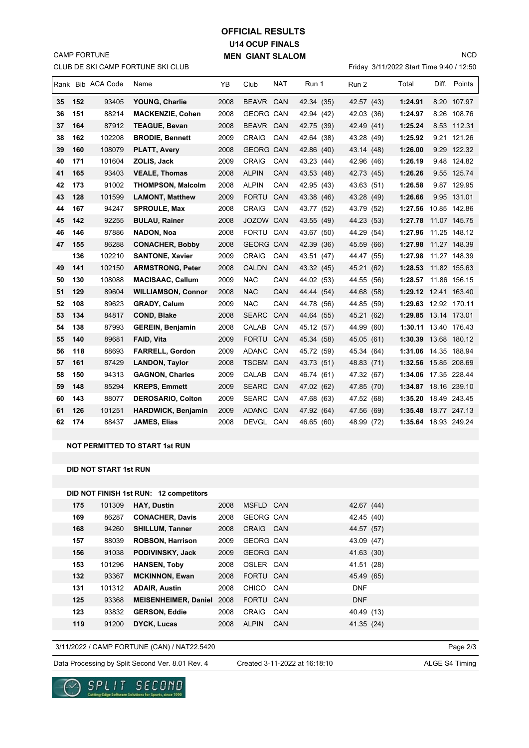# **U14 OCUP FINALS MEN GIANT SLALOM OFFICIAL RESULTS**

CLUB DE SKI CAMP FORTUNE SKI CLUB CAMP FORTUNE

### Friday 3/11/2022 Start Time 9:40 / 12:50

NCD

|    |     | Rank Bib ACA Code | Name                      | YB   | Club             | <b>NAT</b> | Run 1      | Run 2      | Total                | Diff. Points |
|----|-----|-------------------|---------------------------|------|------------------|------------|------------|------------|----------------------|--------------|
| 35 | 152 | 93405             | YOUNG, Charlie            | 2008 | BEAVR CAN        |            | 42.34 (35) | 42.57 (43) | 1:24.91              | 8.20 107.97  |
| 36 | 151 | 88214             | <b>MACKENZIE, Cohen</b>   | 2008 | <b>GEORG CAN</b> |            | 42.94 (42) | 42.03 (36) | 1:24.97              | 8.26 108.76  |
| 37 | 164 | 87912             | <b>TEAGUE, Bevan</b>      | 2008 | BEAVR CAN        |            | 42.75 (39) | 42.49 (41) | 1:25.24              | 8.53 112.31  |
| 38 | 162 | 102208            | <b>BRODIE, Bennett</b>    | 2009 | <b>CRAIG</b>     | CAN        | 42.64 (38) | 43.28 (49) | 1:25.92              | 9.21 121.26  |
| 39 | 160 | 108079            | <b>PLATT, Avery</b>       | 2008 | <b>GEORG CAN</b> |            | 42.86 (40) | 43.14 (48) | 1:26.00              | 9.29 122.32  |
| 40 | 171 | 101604            | ZOLIS, Jack               | 2009 | <b>CRAIG</b>     | CAN        | 43.23 (44) | 42.96 (46) | 1:26.19              | 9.48 124.82  |
| 41 | 165 | 93403             | <b>VEALE, Thomas</b>      | 2008 | <b>ALPIN</b>     | <b>CAN</b> | 43.53 (48) | 42.73 (45) | 1:26.26              | 9.55 125.74  |
| 42 | 173 | 91002             | <b>THOMPSON, Malcolm</b>  | 2008 | <b>ALPIN</b>     | CAN        | 42.95 (43) | 43.63 (51) | 1:26.58              | 9.87 129.95  |
| 43 | 128 | 101599            | <b>LAMONT, Matthew</b>    | 2009 | <b>FORTU</b>     | CAN        | 43.38 (46) | 43.28 (49) | 1:26.66              | 9.95 131.01  |
| 44 | 167 | 94247             | <b>SPROULE, Max</b>       | 2008 | <b>CRAIG</b>     | CAN        | 43.77 (52) | 43.79 (52) | 1:27.56              | 10.85 142.86 |
| 45 | 142 | 92255             | <b>BULAU, Rainer</b>      | 2008 | JOZOW CAN        |            | 43.55 (49) | 44.23 (53) | 1:27.78              | 11.07 145.75 |
| 46 | 146 | 87886             | <b>NADON, Noa</b>         | 2008 | <b>FORTU</b>     | CAN        | 43.67 (50) | 44.29 (54) | 1:27.96              | 11.25 148.12 |
| 47 | 155 | 86288             | <b>CONACHER, Bobby</b>    | 2008 | <b>GEORG CAN</b> |            | 42.39 (36) | 45.59 (66) | 1:27.98              | 11.27 148.39 |
|    | 136 | 102210            | <b>SANTONE, Xavier</b>    | 2009 | <b>CRAIG</b>     | CAN        | 43.51 (47) | 44.47 (55) | 1:27.98              | 11.27 148.39 |
| 49 | 141 | 102150            | <b>ARMSTRONG, Peter</b>   | 2008 | <b>CALDN</b>     | <b>CAN</b> | 43.32 (45) | 45.21 (62) | 1:28.53              | 11.82 155.63 |
| 50 | 130 | 108088            | <b>MACISAAC, Callum</b>   | 2009 | <b>NAC</b>       | CAN        | 44.02 (53) | 44.55 (56) | 1:28.57              | 11.86 156.15 |
| 51 | 129 | 89604             | <b>WILLIAMSON, Connor</b> | 2008 | <b>NAC</b>       | <b>CAN</b> | 44.44 (54) | 44.68 (58) | 1:29.12 12.41 163.40 |              |
| 52 | 108 | 89623             | <b>GRADY, Calum</b>       | 2009 | <b>NAC</b>       | CAN        | 44.78 (56) | 44.85 (59) | 1:29.63 12.92 170.11 |              |
| 53 | 134 | 84817             | <b>COND, Blake</b>        | 2008 | <b>SEARC</b>     | CAN        | 44.64 (55) | 45.21 (62) | 1:29.85 13.14 173.01 |              |
| 54 | 138 | 87993             | <b>GEREIN, Benjamin</b>   | 2008 | CALAB            | CAN        | 45.12 (57) | 44.99 (60) | 1:30.11 13.40 176.43 |              |
| 55 | 140 | 89681             | <b>FAID, Vita</b>         | 2009 | <b>FORTU</b>     | CAN        | 45.34 (58) | 45.05 (61) | 1:30.39              | 13.68 180.12 |
| 56 | 118 | 88693             | <b>FARRELL, Gordon</b>    | 2009 | ADANC CAN        |            | 45.72 (59) | 45.34 (64) | 1:31.06              | 14.35 188.94 |
| 57 | 161 | 87429             | <b>LANDON, Taylor</b>     | 2008 | <b>TSCBM CAN</b> |            | 43.73 (51) | 48.83 (71) | 1:32.56              | 15.85 208.69 |
| 58 | 150 | 94313             | <b>GAGNON, Charles</b>    | 2009 | CALAB            | CAN        | 46.74 (61) | 47.32 (67) | 1:34.06 17.35 228.44 |              |
| 59 | 148 | 85294             | <b>KREPS, Emmett</b>      | 2009 | SEARC CAN        |            | 47.02 (62) | 47.85 (70) | 1:34.87 18.16 239.10 |              |
| 60 | 143 | 88077             | <b>DEROSARIO, Colton</b>  | 2009 | SEARC CAN        |            | 47.68 (63) | 47.52 (68) | 1:35.20              | 18.49 243.45 |
| 61 | 126 | 101251            | <b>HARDWICK, Benjamin</b> | 2009 | ADANC CAN        |            | 47.92 (64) | 47.56 (69) | 1:35.48              | 18.77 247.13 |
| 62 | 174 | 88437             | JAMES, Elias              | 2008 | DEVGL CAN        |            | 46.65 (60) | 48.99 (72) | 1:35.64 18.93 249.24 |              |

#### **NOT PERMITTED TO START 1st RUN**

**DID NOT START 1st RUN**

| DID NOT FINISH 1st RUN: 12 competitors |        |                             |      |                  |     |            |  |  |  |  |
|----------------------------------------|--------|-----------------------------|------|------------------|-----|------------|--|--|--|--|
| 175                                    | 101309 | <b>HAY, Dustin</b>          | 2008 | MSFLD CAN        |     | 42.67 (44) |  |  |  |  |
| 169                                    | 86287  | <b>CONACHER, Davis</b>      | 2008 | <b>GEORG CAN</b> |     | 42.45 (40) |  |  |  |  |
| 168                                    | 94260  | <b>SHILLUM, Tanner</b>      | 2008 | CRAIG CAN        |     | 44.57 (57) |  |  |  |  |
| 157                                    | 88039  | <b>ROBSON, Harrison</b>     | 2009 | <b>GEORG CAN</b> |     | 43.09 (47) |  |  |  |  |
| 156                                    | 91038  | PODIVINSKY, Jack            | 2009 | <b>GEORG CAN</b> |     | 41.63 (30) |  |  |  |  |
| 153                                    | 101296 | <b>HANSEN, Toby</b>         | 2008 | OSLER CAN        |     | 41.51 (28) |  |  |  |  |
| 132                                    | 93367  | <b>MCKINNON, Ewan</b>       | 2008 | FORTU CAN        |     | 45.49 (65) |  |  |  |  |
| 131                                    | 101312 | <b>ADAIR, Austin</b>        | 2008 | CHICO CAN        |     | <b>DNF</b> |  |  |  |  |
| 125                                    | 93368  | <b>MEISENHEIMER, Daniel</b> | 2008 | FORTU CAN        |     | <b>DNF</b> |  |  |  |  |
| 123                                    | 93832  | <b>GERSON, Eddie</b>        | 2008 | CRAIG CAN        |     | 40.49 (13) |  |  |  |  |
| 119                                    | 91200  | <b>DYCK, Lucas</b>          | 2008 | <b>ALPIN</b>     | CAN | 41.35 (24) |  |  |  |  |

3/11/2022 / CAMP FORTUNE (CAN) / NAT22.5420

Data Processing by Split Second Ver. 8.01 Rev. 4 Created 3-11-2022 at 16:18:10 ALGE S4 Timing

Created 3-11-2022 at 16:18:10

Page 2/3